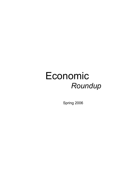## Economic *Roundup*

Spring 2006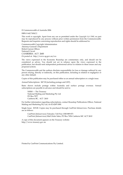© Commonwealth of Australia 2006

ISBN 0 642 74362 2

This work is copyright. Apart from any use as permitted under the *Copyright Act 1968*, no part may be reproduced by any process without prior written permission from the Commonwealth. Requests and inquiries concerning reproduction and rights should be addressed to:

Commonwealth Copyright Administration Attorney-General's Department Robert Garran Offices National Circuit CANBERRA ACT 2600 Or posted at: http://www.ag.gov.au/cca

The views expressed in the Economic Roundup are commentary only, and should not be considered as advice. You should not act in reliance upon the views expressed in the publication, but should seek independent professional advice in relation to these issues and any proposed actions.

The Commonwealth and the authors disclaim responsibility for loss or damage suffered by any person relying, directly or indirectly, on this publication, including in relation to negligence or any other default.

Copies of this publication may be purchased either as an annual subscription or a single issue.

Annual Subscriptions: \$47.30 (including postage and GST).

Rates shown include postage within Australia and surface postage overseas. Annual subscriptions are payable in advance and should be sent to:

 NMM — The Treasury National Mailing and Marketing Pty Ltd PO Box 7077 Canberra BC, ACT 2610

For further information regarding subscriptions, contact Roundup Publications Officer, National Mailing and Marketing Pty Ltd, on 02 6269 1000.

Single Issue: \$19.00. Copies may be purchased through CanPrint Infoservices. Purchase details are as follows:

 CanPrint (Infoservices) Telesales: Toll Free 1300 889 873 CanPrint (Infoservices) Mail Order Sales, PO Box 7456 Canberra MC ACT 2610

A copy of this document appears on the Treasury website: http://www.treasury.gov.au

Printed by CanPrint Communications Pty Limited.